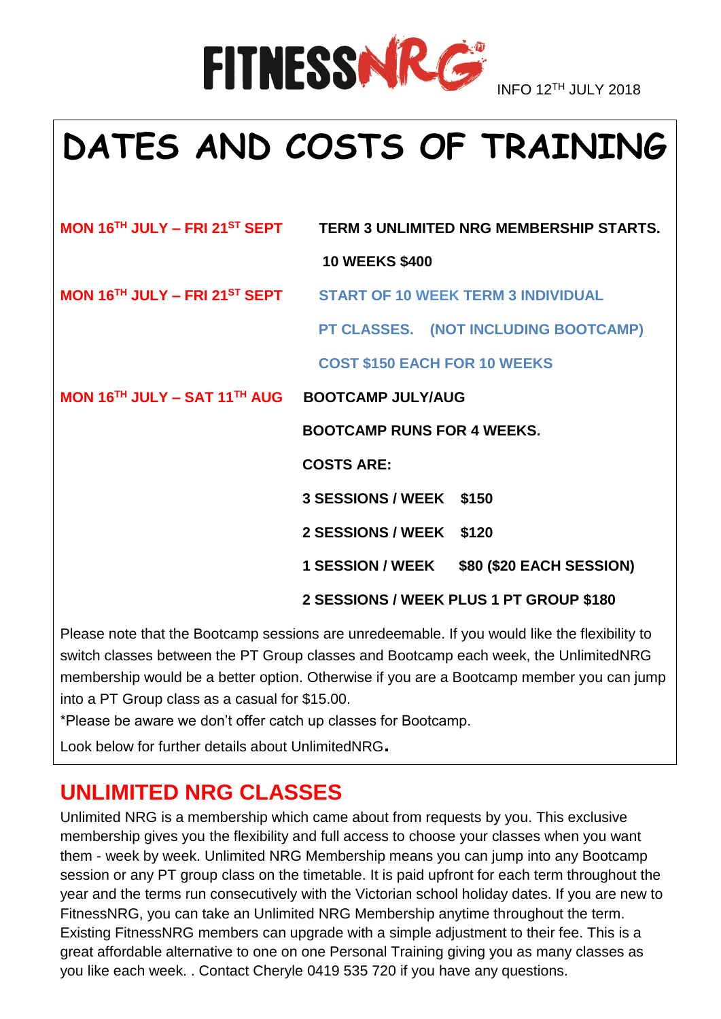

 $\overline{\text{INFO}}$  12<sup>TH</sup> JULY 2018

# **DATES AND COSTS OF TRAINING**

| MON 16 <sup>TH</sup> JULY - FRI 21 <sup>ST</sup> SEPT | TERM 3 UNLIMITED NRG MEMBERSHIP STARTS.   |  |  |  |
|-------------------------------------------------------|-------------------------------------------|--|--|--|
|                                                       | <b>10 WEEKS \$400</b>                     |  |  |  |
| MON 16TH JULY – FRI 21 $\mathrm{^{ST}}$ SEPT          | <b>START OF 10 WEEK TERM 3 INDIVIDUAL</b> |  |  |  |
|                                                       | PT CLASSES. (NOT INCLUDING BOOTCAMP)      |  |  |  |
|                                                       | <b>COST \$150 EACH FOR 10 WEEKS</b>       |  |  |  |
| MON 16TH JULY – SAT 11TH AUG                          | <b>BOOTCAMP JULY/AUG</b>                  |  |  |  |
|                                                       | <b>BOOTCAMP RUNS FOR 4 WEEKS.</b>         |  |  |  |
|                                                       | <b>COSTS ARE:</b>                         |  |  |  |
|                                                       | 3 SESSIONS / WEEK \$150                   |  |  |  |
|                                                       | 2 SESSIONS / WEEK \$120                   |  |  |  |
|                                                       | 1 SESSION / WEEK \$80 (\$20 EACH SESSION) |  |  |  |
|                                                       | 2 SESSIONS / WEEK PLUS 1 PT GROUP \$180   |  |  |  |
|                                                       |                                           |  |  |  |

Please note that the Bootcamp sessions are unredeemable. If you would like the flexibility to switch classes between the PT Group classes and Bootcamp each week, the UnlimitedNRG membership would be a better option. Otherwise if you are a Bootcamp member you can jump into a PT Group class as a casual for \$15.00.

\*Please be aware we don't offer catch up classes for Bootcamp.

Look below for further details about UnlimitedNRG**.** 

### **UNLIMITED NRG CLASSES**

Unlimited NRG is a membership which came about from requests by you. This exclusive membership gives you the flexibility and full access to choose your classes when you want them - week by week. Unlimited NRG Membership means you can jump into any Bootcamp session or any PT group class on the timetable. It is paid upfront for each term throughout the year and the terms run consecutively with the Victorian school holiday dates. If you are new to FitnessNRG, you can take an Unlimited NRG Membership anytime throughout the term. Existing FitnessNRG members can upgrade with a simple adjustment to their fee. This is a great affordable alternative to one on one Personal Training giving you as many classes as you like each week. . Contact Cheryle 0419 535 720 if you have any questions.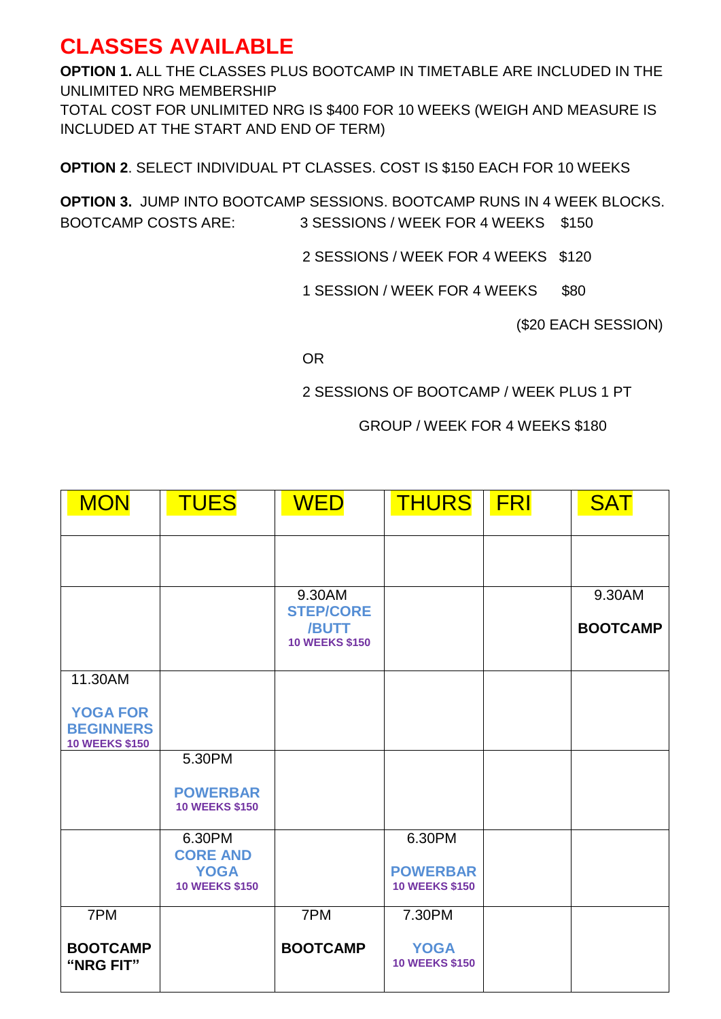### **CLASSES AVAILABLE**

**OPTION 1.** ALL THE CLASSES PLUS BOOTCAMP IN TIMETABLE ARE INCLUDED IN THE UNLIMITED NRG MEMBERSHIP

TOTAL COST FOR UNLIMITED NRG IS \$400 FOR 10 WEEKS (WEIGH AND MEASURE IS INCLUDED AT THE START AND END OF TERM)

**OPTION 2**. SELECT INDIVIDUAL PT CLASSES. COST IS \$150 EACH FOR 10 WEEKS

**OPTION 3.** JUMP INTO BOOTCAMP SESSIONS. BOOTCAMP RUNS IN 4 WEEK BLOCKS. BOOTCAMP COSTS ARE: 3 SESSIONS / WEEK FOR 4 WEEKS \$150

2 SESSIONS / WEEK FOR 4 WEEKS \$120

1 SESSION / WEEK FOR 4 WEEKS \$80

(\$20 EACH SESSION)

**OR** Service Service Service Service Service Service Service Service Service Service Service Service Service Service Service Service Service Service Service Service Service Service Service Service Service Service Service S

2 SESSIONS OF BOOTCAMP / WEEK PLUS 1 PT

GROUP / WEEK FOR 4 WEEKS \$180

| <b>MON</b>                                                   | <b>TUES</b>                                                       | <b>WED</b>                                                   | <b>THURS</b>                                       | <b>FRI</b> | <b>SAT</b>                |
|--------------------------------------------------------------|-------------------------------------------------------------------|--------------------------------------------------------------|----------------------------------------------------|------------|---------------------------|
|                                                              |                                                                   |                                                              |                                                    |            |                           |
|                                                              |                                                                   | 9.30AM<br><b>STEP/CORE</b><br>/BUTT<br><b>10 WEEKS \$150</b> |                                                    |            | 9.30AM<br><b>BOOTCAMP</b> |
| 11.30AM                                                      |                                                                   |                                                              |                                                    |            |                           |
| <b>YOGA FOR</b><br><b>BEGINNERS</b><br><b>10 WEEKS \$150</b> |                                                                   |                                                              |                                                    |            |                           |
|                                                              | 5.30PM<br><b>POWERBAR</b><br><b>10 WEEKS \$150</b>                |                                                              |                                                    |            |                           |
|                                                              | 6.30PM<br><b>CORE AND</b><br><b>YOGA</b><br><b>10 WEEKS \$150</b> |                                                              | 6.30PM<br><b>POWERBAR</b><br><b>10 WEEKS \$150</b> |            |                           |
| 7PM                                                          |                                                                   | 7PM                                                          | 7.30PM                                             |            |                           |
| <b>BOOTCAMP</b><br>"NRG FIT"                                 |                                                                   | <b>BOOTCAMP</b>                                              | <b>YOGA</b><br><b>10 WEEKS \$150</b>               |            |                           |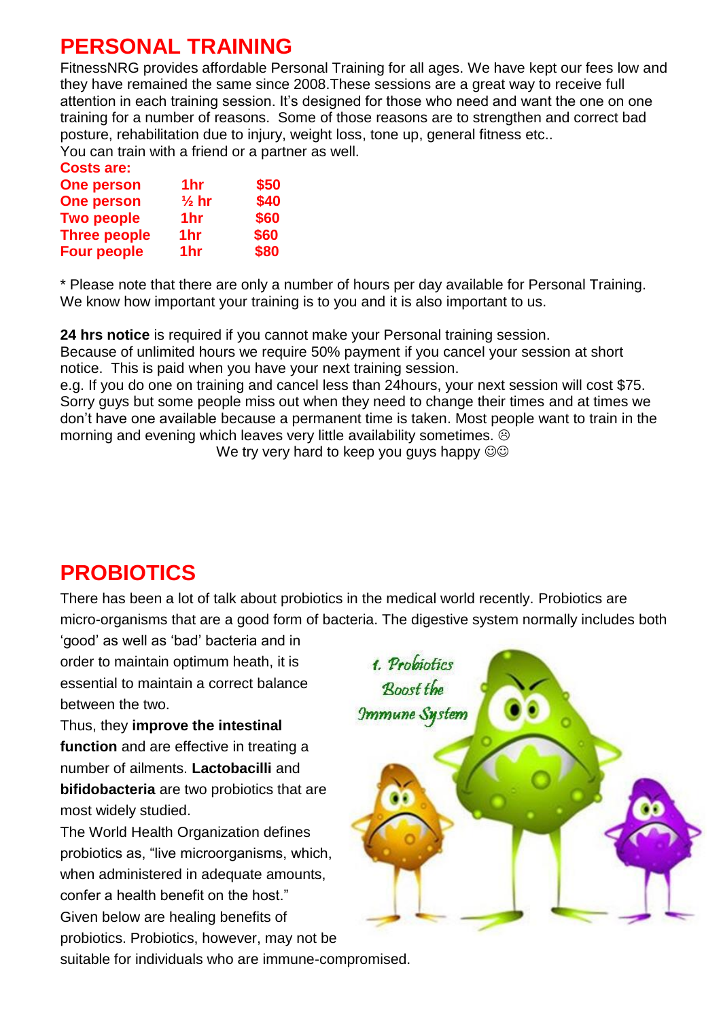### **PERSONAL TRAINING**

FitnessNRG provides affordable Personal Training for all ages. We have kept our fees low and they have remained the same since 2008.These sessions are a great way to receive full attention in each training session. It's designed for those who need and want the one on one training for a number of reasons. Some of those reasons are to strengthen and correct bad posture, rehabilitation due to injury, weight loss, tone up, general fitness etc.. You can train with a friend or a partner as well.

| 1 <sub>hr</sub>  | \$50 |
|------------------|------|
| $\frac{1}{2}$ hr | \$40 |
| 1hr              | \$60 |
| 1hr              | \$60 |
| 1hr              | \$80 |
|                  |      |

\* Please note that there are only a number of hours per day available for Personal Training. We know how important your training is to you and it is also important to us.

**24 hrs notice** is required if you cannot make your Personal training session.

Because of unlimited hours we require 50% payment if you cancel your session at short notice. This is paid when you have your next training session.

e.g. If you do one on training and cancel less than 24hours, your next session will cost \$75. Sorry guys but some people miss out when they need to change their times and at times we don't have one available because a permanent time is taken. Most people want to train in the morning and evening which leaves very little availability sometimes.  $\odot$ 

We try very hard to keep you guys happy  $\circledcirc\circ$ 

### **PROBIOTICS**

There has been a lot of talk about probiotics in the medical world recently. Probiotics are micro-organisms that are a good form of bacteria. The digestive system normally includes both

'good' as well as 'bad' bacteria and in order to maintain optimum heath, it is essential to maintain a correct balance between the two.

Thus, they **improve the intestinal function** and are effective in treating a number of ailments. **Lactobacilli** and **bifidobacteria** are two probiotics that are most widely studied.

The World Health Organization defines probiotics as, "live microorganisms, which, when administered in adequate amounts, confer a health benefit on the host." Given below are healing benefits of probiotics. Probiotics, however, may not be



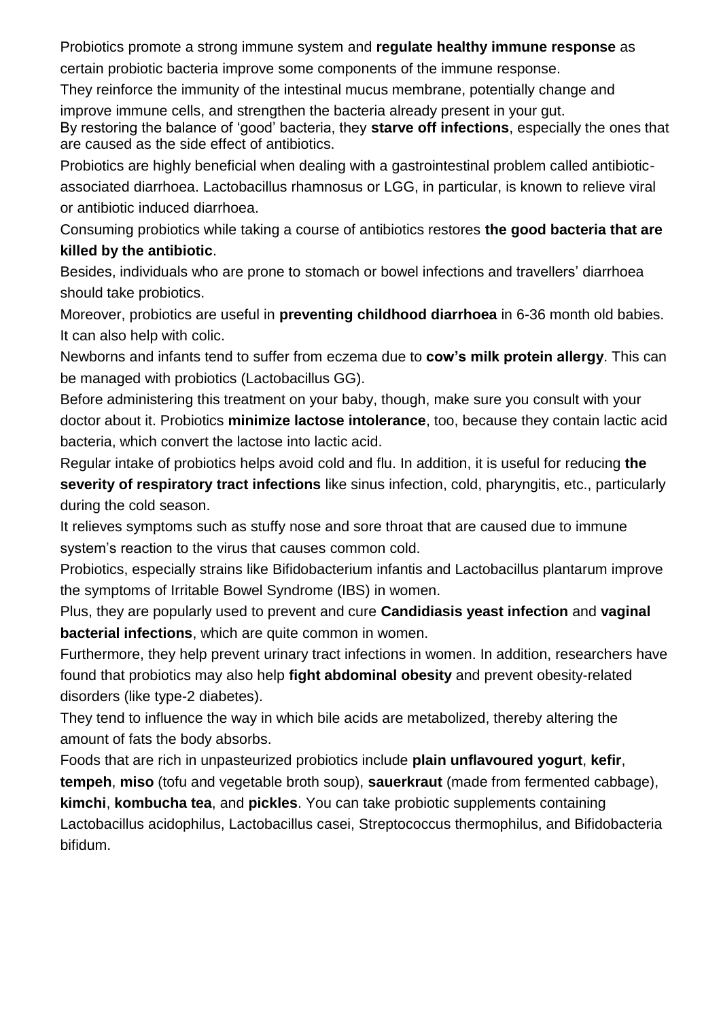Probiotics [promote a strong immune system](http://www.speedyremedies.com/home-remedies-for-low-immunity.html) and **regulate healthy immune response** as certain probiotic bacteria improve some components of the immune response.

They reinforce the immunity of the intestinal mucus membrane, potentially change and improve immune cells, and strengthen the bacteria already present in your gut. By restoring the balance of 'good' bacteria, they **starve off infections**, especially the ones that are caused as the side effect of antibiotics.

Probiotics are highly beneficial when dealing with a gastrointestinal problem called antibioticassociated diarrhoea. Lactobacillus rhamnosus or LGG, in particular, is known to relieve viral or antibiotic induced [diarrhoea.](http://www.speedyremedies.com/home-remedies-to-cure-diarrhea.html)

Consuming probiotics while taking a course of antibiotics restores **the good bacteria that are killed by the antibiotic**.

Besides, individuals who are prone to [stomach or bowel infections](http://www.speedyremedies.com/home-remedies-for-stomach-flu.html) and travellers' diarrhoea should take probiotics.

Moreover, probiotics are useful in **preventing childhood diarrhoea** in 6-36 month old babies. It can also help with [colic.](http://www.speedyremedies.com/tips-on-how-to-get-rid-of-infant-colic-safely.html)

Newborns and infants tend to suffer from [eczema](http://www.speedyremedies.com/home-remedies-for-eczema.html) due to **cow's milk protein allergy**. This can be managed with probiotics (Lactobacillus GG).

Before administering this treatment on your baby, though, make sure you consult with your doctor about it. Probiotics **[minimize lactose intolerance](http://www.speedyremedies.com/dealing-with-lactose-intolerance.html)**, too, because they contain lactic acid bacteria, which convert the lactose into lactic acid.

Regular intake of probiotics helps avoid cold [and flu.](http://www.speedyremedies.com/home-remedies-for-cold-and-flu.html) In addition, it is useful for reducing **the severity of [respiratory tract infections](http://www.speedyremedies.com/home-remedies-for-upper-respiratory-infection.html)** like [sinus infection,](http://www.speedyremedies.com/home-remedies-for-sinus-infection.html) [cold,](http://www.speedyremedies.com/how-to-get-rid-of-a-cold.html) [pharyngitis,](http://www.speedyremedies.com/home-remedies-for-pharyngitis.html) etc., particularly [during the cold season.](http://www.speedyremedies.com/home-remedies-for-winter-ailment.html)

It relieves symptoms such as [stuffy nose](http://www.speedyremedies.com/home-remedies-for-stuffy-nose.html) and [sore throat](http://www.speedyremedies.com/home-remedies-for-sore-throat.html) that are caused due to [immune](http://www.speedyremedies.com/how-does-the-immune-system-fight-disease.html)  [system's reaction](http://www.speedyremedies.com/how-does-the-immune-system-fight-disease.html) to the virus that causes common cold.

Probiotics, especially strains like Bifidobacterium infantis and Lactobacillus plantarum improve the symptoms of [Irritable Bowel Syndrome \(IBS\)](http://www.speedyremedies.com/home-remedies-for-irritable-bowel-syndrome-ibs.html) in women.

Plus, they are popularly used to prevent and cure **[Candidiasis yeast infection](http://www.speedyremedies.com/home-remedies-for-yeast-infection.html)** and **[vaginal](http://www.speedyremedies.com/home-remedies-for-bacterial-vaginitis.html)  [bacterial infections](http://www.speedyremedies.com/home-remedies-for-bacterial-vaginitis.html)**, which are quite common in women.

Furthermore, they help prevent [urinary tract infections](http://www.speedyremedies.com/home-remedies-for-urinary-tract-infection-uti.html) in women. In addition, researchers have found that probiotics may also help **[fight abdominal obesity](http://www.speedyremedies.com/how-to-get-rid-of-belly-fat.html)** and prevent [obesity-](http://www.speedyremedies.com/home-remedies-for-obesity.html)related disorders (like type-2 [diabetes\)](http://www.speedyremedies.com/home-remedies-for-diabetes-mellitus.html).

They tend to influence the way in which bile acids are metabolized, thereby altering the amount of fats the body absorbs.

Foods that are rich in unpasteurized probiotics include **plain unflavoured [yogurt](http://www.speedyremedies.com/feed-yogurt-to-your-skin-and-hair.html)**, **kefir**, **tempeh**, **miso** (tofu and vegetable broth soup), **sauerkraut** (made from fermented cabbage), **kimchi**, **kombucha tea**, and **pickles**. You can take probiotic supplements containing Lactobacillus acidophilus, Lactobacillus casei, Streptococcus thermophilus, and Bifidobacteria bifidum.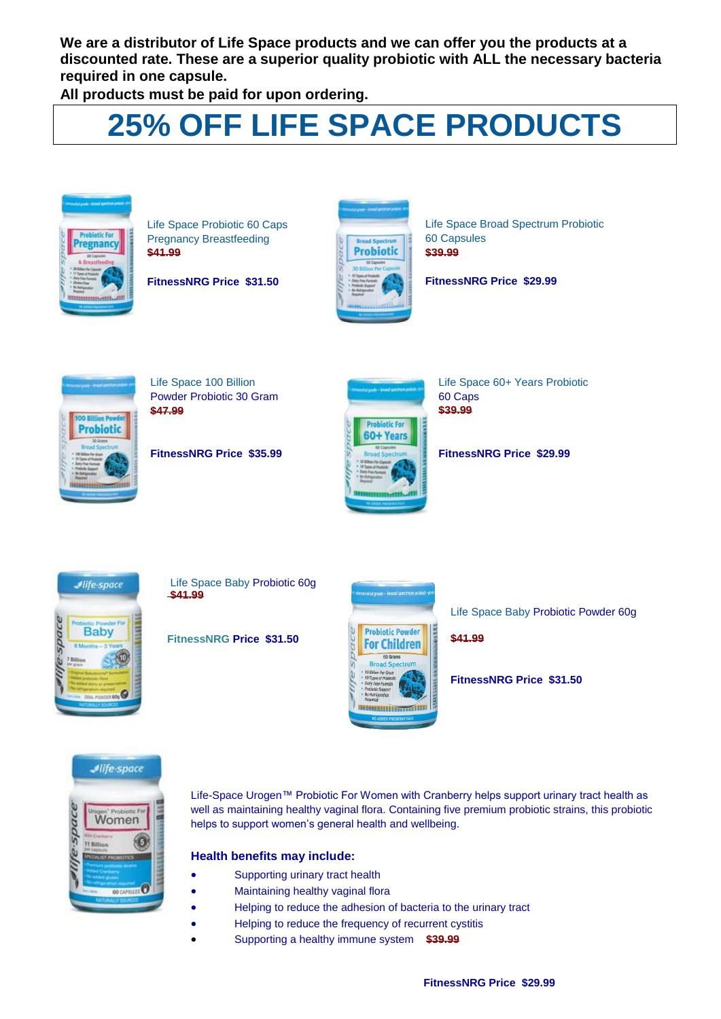**We are a distributor of Life Space products and we can offer you the products at a discounted rate. These are a superior quality probiotic with ALL the necessary bacteria required in one capsule.**

**All products must be paid for upon ordering.**

## **25% OFF LIFE SPACE PRODUCTS**



Pregnancy Breastfeeding **60 Capsules Pregnancy Breastfeeding** 

**FitnessNRG Price \$31.50** 



[Life Space Probiotic 60 Caps](http://store.evolutionhealth.com.au/life-space-pregnancy-breastfeeding-probiotic-60-caps/) [Life Space Broad Spectrum Probiotic](http://store.evolutionhealth.com.au/broad-spectrum-probiotic-60-capsules/) 

|  | <b>FitnessNRG Price \$29.99</b> |  |  |  |
|--|---------------------------------|--|--|--|
|--|---------------------------------|--|--|--|



Powder Probiotic 30 Gram **60 Caps** 60 Caps **\$47.99 \$39.99 \$39.99 \$39.99 \$39.99 \$39.99 \$39.99 \$39.99 \$39.99 \$39.99 \$39.99 \$39.99 \$39.99 \$39.99 \$39.99 \$39.99 \$39.99 \$39.99 \$39.99 \$** 



[Life Space 100 Billion](http://store.evolutionhealth.com.au/life-space-100-billion-powder-probiotic-30-gram/) **Charles Community** Life Space 60+ Years Probiotic



[Life Space Baby](http://store.evolutionhealth.com.au/life-space-baby-probiotic-60g/) Probiotic 60g **[\\$41.99](http://store.evolutionhealth.com.au/500mg-wild-red-krill-oil-60-capsules/)**



[Life Space Baby](http://store.evolutionhealth.com.au/500mg-wild-red-krill-oil-60-capsules/) Probiotic Powder 60g

 **FitnessNRG Price \$31.50** 



Life-Space Urogen™ Probiotic For Women with Cranberry helps support urinary tract health as well as maintaining healthy vaginal flora. Containing five premium probiotic strains, this probiotic helps to support women's general health and wellbeing.

#### **Health benefits may include:**

- Supporting urinary tract health
- Maintaining healthy vaginal flora
- Helping to reduce the adhesion of bacteria to the urinary tract
- Helping to reduce the frequency of recurrent cystitis
- Supporting a healthy immune system **\$39.99**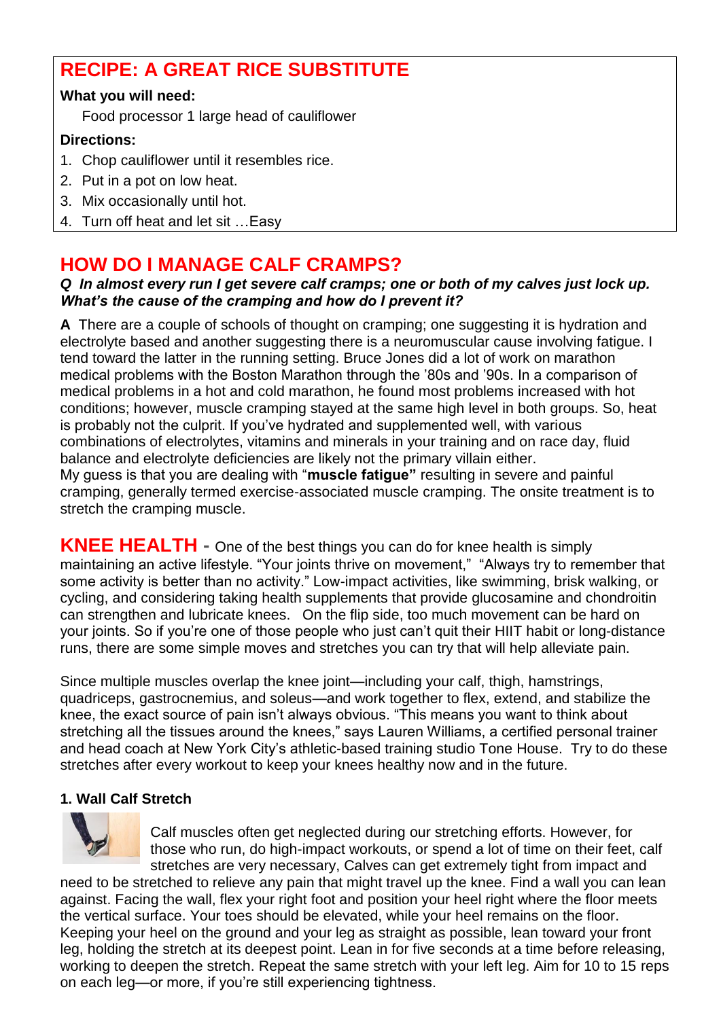### **RECIPE: A GREAT RICE SUBSTITUTE**

### **What you will need:**

Food processor 1 large head of cauliflower

### **Directions:**

- 1. Chop cauliflower until it resembles rice.
- 2. Put in a pot on low heat.
- 3. Mix occasionally until hot.
- 4. Turn off heat and let sit …Easy

### **HOW DO I MANAGE CALF CRAMPS?**

#### *Q In almost every run I get severe calf cramps; one or both of my calves just lock up. What's the cause of the cramping and how do I prevent it?*

**A** There are a couple of schools of thought on cramping; one suggesting it is hydration and electrolyte based and another suggesting there is a neuromuscular cause involving fatigue. I tend toward the latter in the running setting. Bruce Jones did a lot of work on marathon medical problems with the Boston Marathon through the '80s and '90s. In a comparison of medical problems in a hot and cold marathon, he found most problems increased with hot conditions; however, muscle cramping stayed at the same high level in both groups. So, heat is probably not the culprit. If you've hydrated and supplemented well, with various combinations of electrolytes, vitamins and minerals in your training and on race day, fluid balance and electrolyte deficiencies are likely not the primary villain either. My guess is that you are dealing with "**muscle fatigue"** resulting in severe and painful cramping, generally termed exercise-associated muscle cramping. The onsite treatment is to stretch the cramping muscle.

**KNEE HEALTH -** One of the best things you can do for knee health is simply maintaining an active lifestyle. "Your joints thrive on movement," "Always try to remember that some activity is better than no activity." Low-impact activities, like swimming, brisk walking, or cycling, and considering taking health supplements that provide glucosamine and chondroitin can strengthen and lubricate knees. On the flip side, too much movement can be hard on your joints. So if you're one of those people who just can't quit their [HIIT habit](http://greatist.com/move/full-body-hiit-bodyweight-workout) or long-distance runs, there are some simple moves and stretches you can try that will help alleviate pain.

Since multiple muscles overlap the knee joint—including your calf, thigh, hamstrings, quadriceps, gastrocnemius, and soleus—and work together to flex, extend, and stabilize the knee, the exact source of pain isn't always obvious. "This means you want to think about stretching all the tissues around the knees," says Lauren Williams, a certified personal trainer and head coach at New York City's athletic-based training studio [Tone House.](http://www.tonehousenewyork.com/) Try to do these stretches after every workout to keep your knees healthy now and in the future.

### **1. Wall Calf Stretch**



Calf muscles often get neglected during our stretching efforts. However, for those who run, do high-impact workouts, or spend a lot of time on their feet, calf stretches are very necessary, Calves can get extremely tight from impact and

need to be stretched to relieve any pain that might travel up the knee. Find a wall you can lean against. Facing the wall, flex your right foot and position your heel right where the floor meets the vertical surface. Your toes should be elevated, while your heel remains on the floor. Keeping your heel on the ground and your leg as straight as possible, lean toward your front leg, holding the stretch at its deepest point. Lean in for five seconds at a time before releasing, working to deepen the stretch. Repeat the same stretch with your left leg. Aim for 10 to 15 reps on each leg—or more, if you're still experiencing tightness.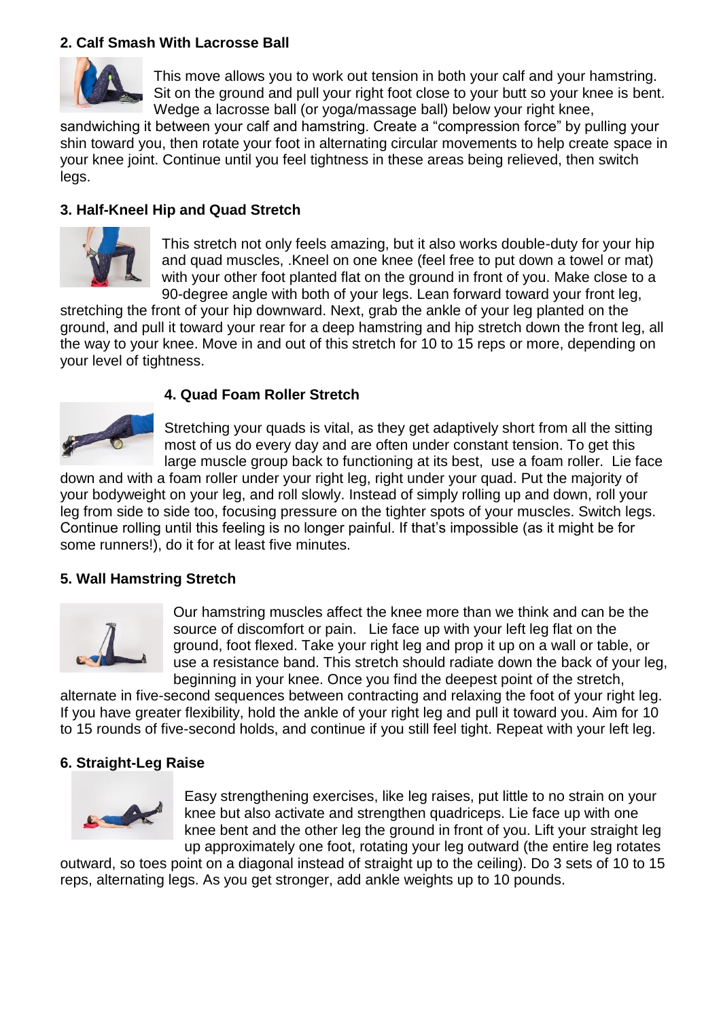#### **2. Calf Smash With Lacrosse Ball**



This move allows you to work out tension in both your calf and your hamstring. Sit on the ground and pull your right foot close to your butt so your knee is bent. Wedge a lacrosse ball (or yoga/massage ball) below your right knee,

sandwiching it between your calf and hamstring. Create a "compression force" by pulling your shin toward you, then rotate your foot in alternating circular movements to help create space in your knee joint. Continue until you feel tightness in these areas being relieved, then switch legs.

#### **3. Half-Kneel Hip and Quad Stretch**



This stretch not only feels amazing, but it also works double-duty for your hip and quad muscles, .Kneel on one knee (feel free to put down a towel or mat) with your other foot planted flat on the ground in front of you. Make close to a 90-degree angle with both of your legs. Lean forward toward your front leg,

stretching the front of your hip downward. Next, grab the ankle of your leg planted on the ground, and pull it toward your rear for a deep hamstring and hip stretch down the front leg, all the way to your knee. Move in and out of this stretch for 10 to 15 reps or more, depending on your level of tightness.

#### **4. Quad Foam Roller Stretch**



Stretching your quads is vital, as they get adaptively short from all the sitting most of us do every day and are often under constant tension. To get this large muscle group back to functioning at its best, use a foam roller. Lie face

down and with a foam roller under your right leg, right under your quad. Put the majority of your bodyweight on your leg, and roll slowly. Instead of simply rolling up and down, roll your leg from side to side too, focusing pressure on the tighter spots of your muscles. Switch legs. Continue rolling until this feeling is no longer painful. If that's impossible (as it might be for some runners!), do it for at least five minutes.

### **5. Wall Hamstring Stretch**



Our hamstring muscles affect the knee more than we think and can be the source of discomfort or pain. Lie face up with your left leg flat on the ground, foot flexed. Take your right leg and prop it up on a wall or table, or use a resistance band. This stretch should radiate down the back of your leg, beginning in your knee. Once you find the deepest point of the stretch,

alternate in five-second sequences between contracting and relaxing the foot of your right leg. If you have greater flexibility, hold the ankle of your right leg and pull it toward you. Aim for 10 to 15 rounds of five-second holds, and continue if you still feel tight. Repeat with your left leg.

### **6. Straight-Leg Raise**



Easy strengthening exercises, like leg raises, put little to no strain on your knee but also activate and strengthen quadriceps. Lie face up with one knee bent and the other leg the ground in front of you. Lift your straight leg up approximately one foot, rotating your leg outward (the entire leg rotates

outward, so toes point on a diagonal instead of straight up to the ceiling). Do 3 sets of 10 to 15 reps, alternating legs. As you get stronger, add ankle weights up to 10 pounds.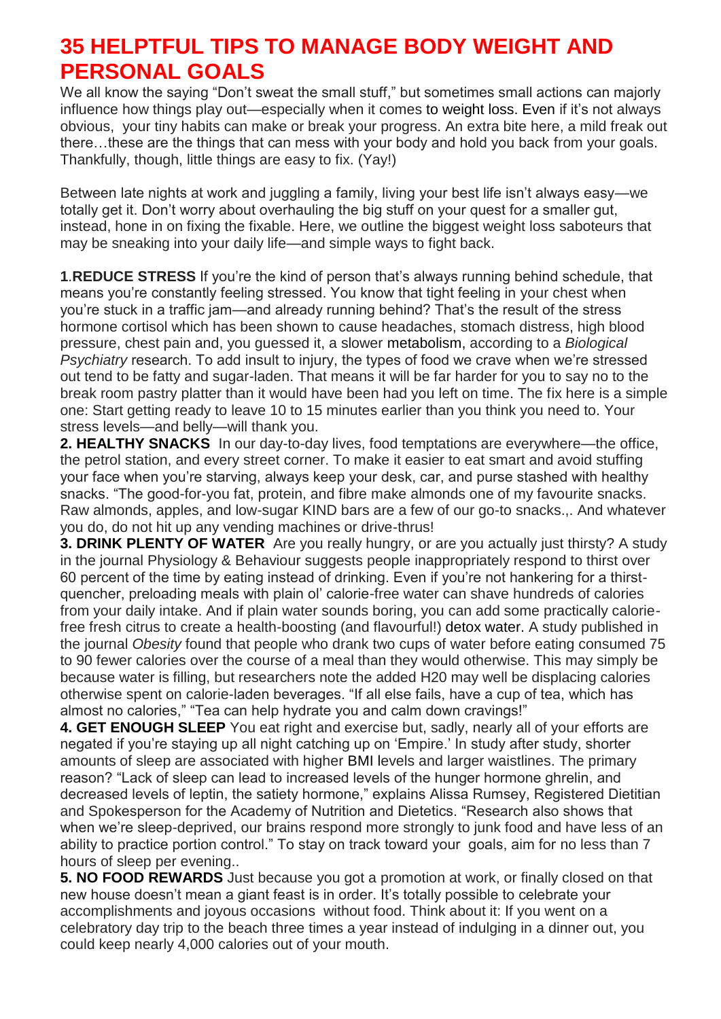### **35 HELPTFUL TIPS TO MANAGE BODY WEIGHT AND PERSONAL GOALS**

We all know the saying "Don't sweat the small stuff," but sometimes small actions can majorly influence how things play out—especially when it comes to [weight loss.](https://www.eatthis.com/only-smoothies-youll-need-video) Even if it's not always obvious, your tiny habits can make or break your progress. An extra bite here, a mild freak out there…these are the things that can mess with your body and hold you back from your goals. Thankfully, though, little things are easy to fix. (Yay!)

Between late nights at work and juggling a family, living your best life isn't always easy—we totally get it. Don't worry about overhauling the big stuff on your quest for a smaller gut, instead, hone in on fixing the fixable. Here, we outline the biggest weight loss saboteurs that may be sneaking into your daily life—and simple ways to fight back.

**1**.**REDUCE STRESS** If you're the kind of person that's always running behind schedule, that means you're constantly feeling stressed. You know that tight feeling in your chest when you're stuck in a traffic jam—and already running behind? That's the result of the stress hormone cortisol which has been shown to cause headaches, stomach distress, high blood pressure, chest pain and, you guessed it, a slower [metabolism,](https://www.eatthis.com/boost-metabolism-with-tea-smoothie) according to a *Biological Psychiatry* research. To add insult to injury, the types of food we crave when we're stressed out tend to be fatty and sugar-laden. That means it will be far harder for you to say no to the break room pastry platter than it would have been had you left on time. The fix here is a simple one: Start getting ready to leave 10 to 15 minutes earlier than you think you need to. Your stress levels—and belly—will thank you.

**2. HEALTHY SNACKS** In our day-to-day lives, food temptations are everywhere—the office, the petrol station, and every street corner. To make it easier to eat smart and avoid stuffing your face when you're starving, always keep your desk, car, and purse stashed with healthy snacks. "The good-for-you fat, protein, and fibre make almonds one of my favourite snacks. Raw almonds, apples, and low-sugar KIND bars are a few of our go-to snacks.,. And whatever you do, do not hit up any vending machines or drive-thrus!

**3. DRINK PLENTY OF WATER** Are you really hungry, or are you actually just thirsty? A study in the journal Physiology & Behaviour suggests people inappropriately respond to thirst over 60 percent of the time by eating instead of drinking. Even if you're not hankering for a thirstquencher, preloading meals with plain ol' calorie-free water can shave hundreds of calories from your daily intake. And if plain water sounds boring, you can add some practically caloriefree fresh citrus to create a health-boosting (and flavourful!) [detox water.](https://www.eatthis.com/best-detox-water-fat-burning-weight-loss) A study published in the journal *Obesity* found that people who drank two cups of water before eating consumed 75 to 90 fewer calories over the course of a meal than they would otherwise. This may simply be because water is filling, but researchers note the added H20 may well be displacing calories otherwise spent on calorie-laden beverages. "If all else fails, have a cup of tea, which has almost no calories," "Tea can help hydrate you and calm down cravings!"

**4. GET ENOUGH SLEEP** You eat right and exercise but, sadly, nearly all of your efforts are negated if you're staying up all night catching up on 'Empire.' In study after study, shorter amounts of sleep are associated with higher [BMI](https://www.eatthis.com/most-accurate-weight-and-health-calculations) levels and larger waistlines. The primary reason? "Lack of sleep can lead to increased levels of the hunger hormone ghrelin, and decreased levels of leptin, the satiety hormone," explains Alissa Rumsey, Registered Dietitian and Spokesperson for the Academy of Nutrition and Dietetics. "Research also shows that when we're sleep-deprived, our brains respond more strongly to junk food and have less of an ability to practice portion control." To stay on track toward your goals, aim for no less than 7 hours of sleep per evening..

**5. NO FOOD REWARDS** Just because you got a promotion at work, or finally closed on that new house doesn't mean a giant feast is in order. It's totally possible to celebrate your accomplishments and joyous occasions without food. Think about it: If you went on a celebratory day trip to the beach three times a year instead of indulging in a dinner out, you could keep nearly 4,000 calories out of your mouth.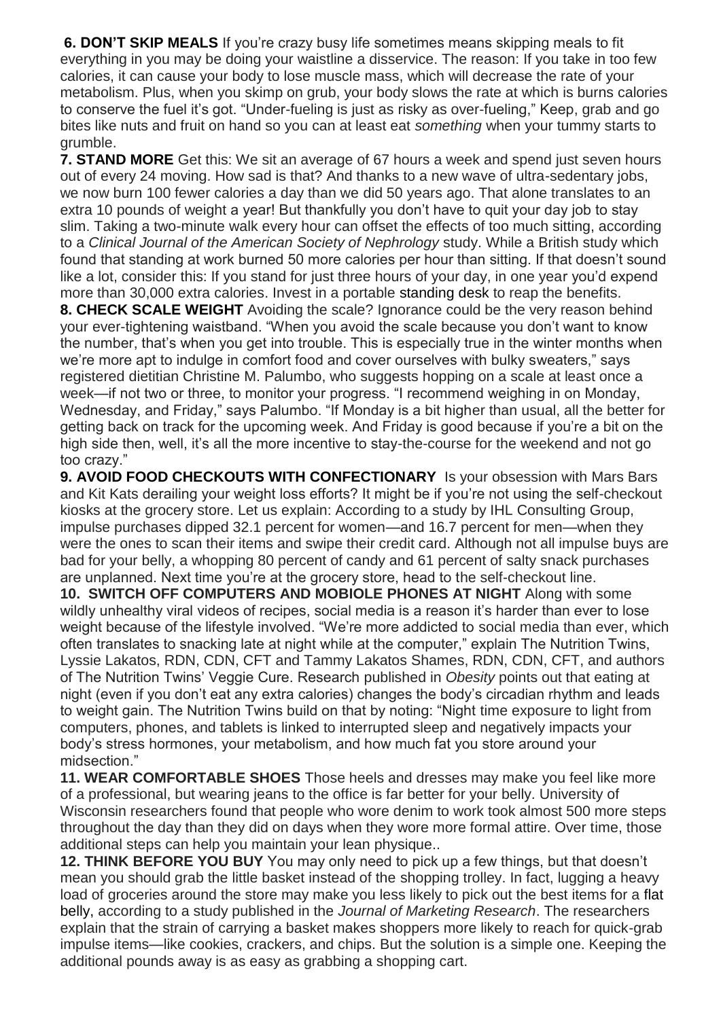**6. DON'T SKIP MEALS** If you're crazy busy life sometimes means skipping meals to fit everything in you may be doing your waistline a disservice. The reason: If you take in too few calories, it can cause your body to lose muscle mass, which will decrease the rate of your metabolism. Plus, when you skimp on grub, your body slows the rate at which is burns calories to conserve the fuel it's got. "Under-fueling is just as risky as over-fueling," Keep, grab and go bites like nuts and fruit on hand so you can at least eat *something* when your tummy starts to grumble.

**7. STAND MORE** Get this: We sit an average of 67 hours a week and spend just seven hours out of every 24 moving. How sad is that? And thanks to a new wave of ultra-sedentary jobs, we now burn 100 fewer calories a day than we did 50 years ago. That alone translates to an extra 10 pounds of weight a year! But thankfully you don't have to quit your day job to stay slim. Taking a two-minute walk every hour can offset the effects of too much sitting, according to a *Clinical Journal of the American Society of Nephrology* study. While a British study which found that standing at work burned 50 more calories per hour than sitting. If that doesn't sound like a lot, consider this: If you stand for just three hours of your day, in one year you'd expend more than 30,000 extra calories. Invest in a portable [standing desk](https://www.eatthis.com/veridesk-stand-up-desks) to reap the benefits. **8. CHECK SCALE WEIGHT** Avoiding the scale? Ignorance could be the very reason behind your ever-tightening waistband. "When you avoid the scale because you don't want to know the number, that's when you get into trouble. This is especially true in the winter months when we're more apt to indulge in comfort food and cover ourselves with bulky sweaters," says registered dietitian Christine M. Palumbo, who suggests hopping on a scale at least once a week—if not two or three, to monitor your progress. "I recommend weighing in on Monday, Wednesday, and Friday," says Palumbo. "If Monday is a bit higher than usual, all the better for getting back on track for the upcoming week. And Friday is good because if you're a bit on the high side then, well, it's all the more incentive to stay-the-course for the weekend and not go too crazy."

**9. AVOID FOOD CHECKOUTS WITH CONFECTIONARY** Is your obsession with Mars Bars and Kit Kats derailing your weight loss efforts? It might be if you're not using the self-checkout kiosks at the grocery store. Let us explain: According to a study by IHL Consulting Group, impulse purchases dipped 32.1 percent for women—and 16.7 percent for men—when they were the ones to scan their items and swipe their credit card. Although not all impulse buys are bad for your belly, a whopping 80 percent of candy and 61 percent of salty snack purchases are unplanned. Next time you're at the grocery store, head to the self-checkout line.

**10. SWITCH OFF COMPUTERS AND MOBIOLE PHONES AT NIGHT** Along with some wildly unhealthy viral videos of recipes, social media is a reason it's harder than ever to lose weight because of the lifestyle involved. "We're more addicted to social media than ever, which often translates to snacking late at night while at the computer," explain The Nutrition Twins, Lyssie Lakatos, RDN, CDN, CFT and Tammy Lakatos Shames, RDN, CDN, CFT, and authors of The Nutrition Twins' Veggie Cure. Research published in *Obesity* points out that eating at night (even if you don't eat any extra calories) changes the body's circadian rhythm and leads to weight gain. The Nutrition Twins build on that by noting: "Night time exposure to light from computers, phones, and tablets is linked to interrupted sleep and negatively impacts your body's stress hormones, your metabolism, and how much fat you store around your midsection."

**11. WEAR COMFORTABLE SHOES** Those heels and dresses may make you feel like more of a professional, but wearing jeans to the office is far better for your belly. University of Wisconsin researchers found that people who wore denim to work took almost 500 more steps throughout the day than they did on days when they wore more formal attire. Over time, those additional steps can help you maintain your lean physique..

**12. THINK BEFORE YOU BUY** You may only need to pick up a few things, but that doesn't mean you should grab the little basket instead of the shopping trolley. In fact, lugging a heavy load of groceries around the store may make you less likely to pick out the best items for a [flat](https://www.eatthis.com/flat-belly-superfoods-video)  [belly,](https://www.eatthis.com/flat-belly-superfoods-video) according to a study published in the *Journal of Marketing Research*. The researchers explain that the strain of carrying a basket makes shoppers more likely to reach for quick-grab impulse items—like cookies, crackers, and chips. But the solution is a simple one. Keeping the additional pounds away is as easy as grabbing a shopping cart.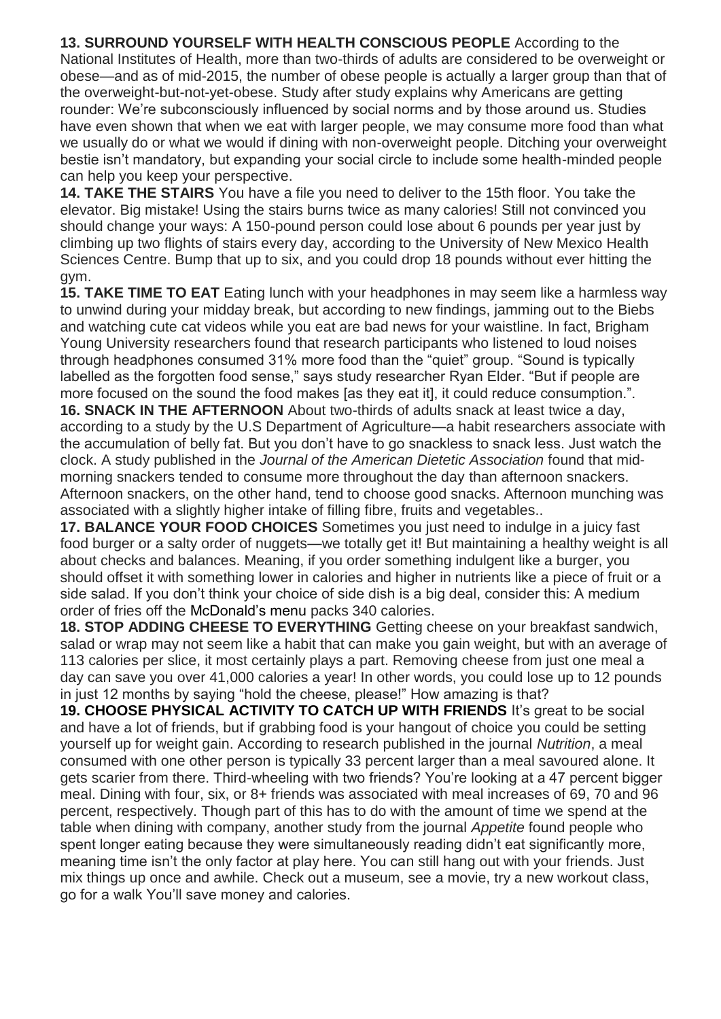**13. SURROUND YOURSELF WITH HEALTH CONSCIOUS PEOPLE** According to the National Institutes of Health, more than two-thirds of adults are considered to be overweight or obese—and as of mid-2015, the number of obese people is actually a larger group than that of the overweight-but-not-yet-obese. Study after study explains why Americans are getting rounder: We're subconsciously influenced by social norms and by those around us. Studies have even shown that when we eat with larger people, we may consume more food than what we usually do or what we would if dining with non-overweight people. Ditching your overweight bestie isn't mandatory, but expanding your social circle to include some health-minded people can help you keep your perspective.

**14. TAKE THE STAIRS** You have a file you need to deliver to the 15th floor. You take the elevator. Big mistake! Using the stairs burns twice as many calories! Still not convinced you should change your ways: A 150-pound person could lose about 6 pounds per year just by climbing up two flights of stairs every day, according to the University of New Mexico Health Sciences Centre. Bump that up to six, and you could drop 18 pounds without ever hitting the gym.

**15. TAKE TIME TO EAT** Eating lunch with your headphones in may seem like a harmless way to unwind during your midday break, but according to new findings, jamming out to the Biebs and watching cute cat videos while you eat are bad news for your waistline. In fact, Brigham Young University researchers found that research participants who listened to loud noises through headphones consumed 31% more food than the "quiet" group. "Sound is typically labelled as the forgotten food sense," says study researcher Ryan Elder. "But if people are more focused on the sound the food makes [as they eat it], it could reduce consumption.".

**16. SNACK IN THE AFTERNOON** About two-thirds of adults snack at least twice a day, according to a study by the U.S Department of Agriculture—a habit researchers associate with the accumulation of belly fat. But you don't have to go snackless to snack less. Just watch the clock. A study published in the *Journal of the American Dietetic Association* found that midmorning snackers tended to consume more throughout the day than afternoon snackers. Afternoon snackers, on the other hand, tend to choose good snacks. Afternoon munching was associated with a slightly higher intake of filling fibre, fruits and vegetables..

**17. BALANCE YOUR FOOD CHOICES** Sometimes you just need to indulge in a juicy fast food burger or a salty order of nuggets—we totally get it! But maintaining a healthy weight is all about checks and balances. Meaning, if you order something indulgent like a burger, you should offset it with something lower in calories and higher in nutrients like a piece of fruit or a side salad. If you don't think your choice of side dish is a big deal, consider this: A medium order of fries off the [McDonald's menu](https://www.eatthis.com/mcdonalds-menu-items-ranked) packs 340 calories.

**18. STOP ADDING CHEESE TO EVERYTHING** Getting cheese on your breakfast sandwich, salad or wrap may not seem like a habit that can make you gain weight, but with an average of 113 calories per slice, it most certainly plays a part. Removing cheese from just one meal a day can save you over 41,000 calories a year! In other words, you could lose up to 12 pounds in just 12 months by saying "hold the cheese, please!" How amazing is that?

**19. CHOOSE PHYSICAL ACTIVITY TO CATCH UP WITH FRIENDS** It's great to be social and have a lot of friends, but if grabbing food is your hangout of choice you could be setting yourself up for weight gain. According to research published in the journal *Nutrition*, a meal consumed with one other person is typically 33 percent larger than a meal savoured alone. It gets scarier from there. Third-wheeling with two friends? You're looking at a 47 percent bigger meal. Dining with four, six, or 8+ friends was associated with meal increases of 69, 70 and 96 percent, respectively. Though part of this has to do with the amount of time we spend at the table when dining with company, another study from the journal *Appetite* found people who spent longer eating because they were simultaneously reading didn't eat significantly more, meaning time isn't the only factor at play here. You can still hang out with your friends. Just mix things up once and awhile. Check out a museum, see a movie, try a new workout class, go for a walk You'll save money and calories.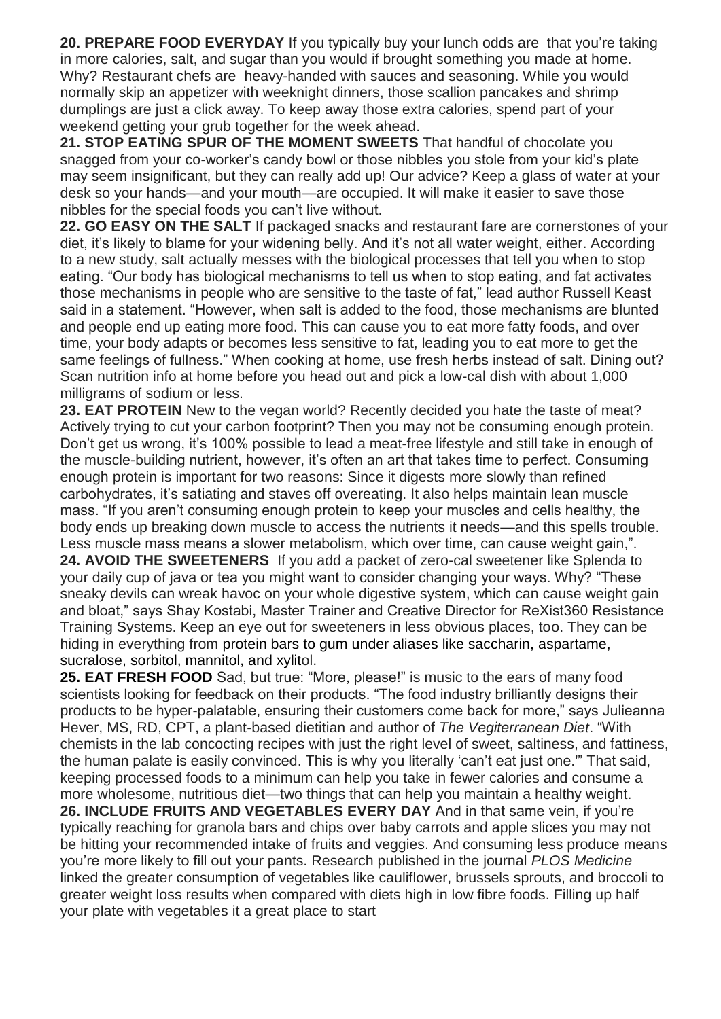**20. PREPARE FOOD EVERYDAY** If you typically buy your lunch odds are that you're taking in more calories, salt, and sugar than you would if brought something you made at home. Why? Restaurant chefs are heavy-handed with sauces and seasoning. While you would normally skip an appetizer with weeknight dinners, those scallion pancakes and shrimp dumplings are just a click away. To keep away those extra calories, spend part of your weekend getting your grub together for the week ahead.

**21. STOP EATING SPUR OF THE MOMENT SWEETS** That handful of chocolate you snagged from your co-worker's candy bowl or those nibbles you stole from your kid's plate may seem insignificant, but they can really add up! Our advice? Keep a glass of water at your desk so your hands—and your mouth—are occupied. It will make it easier to save those nibbles for the special foods you can't live without.

**22. GO EASY ON THE SALT** If packaged snacks and restaurant fare are cornerstones of your diet, it's likely to blame for your widening belly. And it's not all water weight, either. According to a new study, salt actually messes with the biological processes that tell you when to stop eating. "Our body has biological mechanisms to tell us when to stop eating, and fat activates those mechanisms in people who are sensitive to the taste of fat," lead author Russell Keast said in a statement. "However, when salt is added to the food, those mechanisms are blunted and people end up eating more food. This can cause you to eat more fatty foods, and over time, your body adapts or becomes less sensitive to fat, leading you to eat more to get the same feelings of fullness." When cooking at home, use fresh herbs instead of salt. Dining out? Scan nutrition info at home before you head out and pick a low-cal dish with about 1,000 milligrams of sodium or less.

**23. EAT PROTEIN** New to the vegan world? Recently decided you hate the taste of meat? Actively trying to cut your carbon footprint? Then you may not be consuming enough protein. Don't get us wrong, it's 100% possible to lead a meat-free lifestyle and still take in enough of the muscle-building nutrient, however, it's often an art that takes time to perfect. Consuming enough protein is important for two reasons: Since it digests more slowly than refined carbohydrates, it's satiating and staves off overeating. It also helps maintain lean muscle mass. "If you aren't consuming enough protein to keep your muscles and cells healthy, the body ends up breaking down muscle to access the nutrients it needs—and this spells trouble. Less muscle mass means a slower metabolism, which over time, can cause weight gain,". **24. AVOID THE SWEETENERS** If you add a packet of zero-cal sweetener like Splenda to your daily cup of java or tea you might want to consider changing your ways. Why? "These sneaky devils can wreak havoc on your whole digestive system, which can cause weight gain

and bloat," says Shay Kostabi, Master Trainer and Creative Director for ReXist360 Resistance Training Systems. Keep an eye out for sweeteners in less obvious places, too. They can be hiding in everything from [protein bars](https://www.eatthis.com/best-nutrition-bars) to gum under aliases like saccharin, aspartame, sucralose, sorbitol, mannitol, and xylitol.

**25. EAT FRESH FOOD** Sad, but true: "More, please!" is music to the ears of many food scientists looking for feedback on their products. "The food industry brilliantly designs their products to be hyper-palatable, ensuring their customers come back for more," says Julieanna Hever, MS, RD, CPT, a plant-based dietitian and author of *The Vegiterranean Diet*. "With chemists in the lab concocting recipes with just the right level of sweet, saltiness, and fattiness, the human palate is easily convinced. This is why you literally 'can't eat just one.'" That said, keeping processed foods to a minimum can help you take in fewer calories and consume a more wholesome, nutritious diet—two things that can help you maintain a healthy weight. **26. INCLUDE FRUITS AND VEGETABLES EVERY DAY** And in that same vein, if you're typically reaching for granola bars and chips over baby carrots and apple slices you may not be hitting your recommended intake of fruits and veggies. And consuming less produce means you're more likely to fill out your pants. Research published in the journal *PLOS Medicine* linked the greater consumption of vegetables like cauliflower, brussels sprouts, and broccoli to greater weight loss results when compared with diets high in low fibre foods. Filling up half your plate with vegetables it a great place to start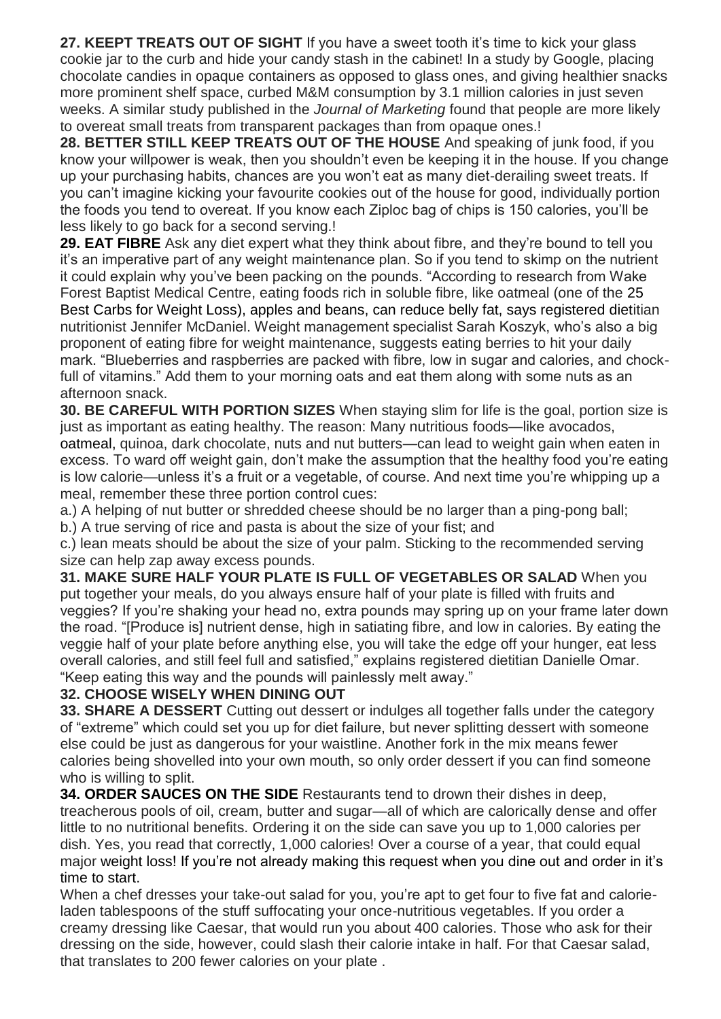**27. KEEPT TREATS OUT OF SIGHT** If you have a sweet tooth it's time to kick your glass cookie jar to the curb and hide your candy stash in the cabinet! In a study by Google, placing chocolate candies in opaque containers as opposed to glass ones, and giving healthier snacks more prominent shelf space, curbed M&M consumption by 3.1 million calories in just seven weeks. A similar study published in the *Journal of Marketing* found that people are more likely to overeat small treats from transparent packages than from opaque ones.!

**28. BETTER STILL KEEP TREATS OUT OF THE HOUSE** And speaking of junk food, if you know your willpower is weak, then you shouldn't even be keeping it in the house. If you change up your purchasing habits, chances are you won't eat as many diet-derailing sweet treats. If you can't imagine kicking your favourite cookies out of the house for good, individually portion the foods you tend to overeat. If you know each Ziploc bag of chips is 150 calories, you'll be less likely to go back for a second serving.!

29. **EAT FIBRE** Ask any diet expert what they think about fibre, and they're bound to tell you it's an imperative part of any weight maintenance plan. So if you tend to skimp on the nutrient it could explain why you've been packing on the pounds. "According to research from Wake Forest Baptist Medical Centre, eating foods rich in soluble fibre, like oatmeal (one of the [25](https://www.eatthis.com/carbs-that-uncover-your-abs)  [Best Carbs for Weight Loss\)](https://www.eatthis.com/carbs-that-uncover-your-abs), apples and beans, can reduce belly fat, says registered dietitian nutritionist Jennifer McDaniel. Weight management specialist Sarah Koszyk, who's also a big proponent of eating fibre for weight maintenance, suggests eating berries to hit your daily mark. "Blueberries and raspberries are packed with fibre, low in sugar and calories, and chockfull of vitamins." Add them to your morning oats and eat them along with some nuts as an afternoon snack.

**30. BE CAREFUL WITH PORTION SIZES** When staying slim for life is the goal, portion size is just as important as eating healthy. The reason: Many nutritious foods—like avocados, [oatmeal,](https://www.eatthis.com/how-to-lose-weight-with-oatmeal) quinoa, dark chocolate, nuts and nut butters—can lead to weight gain when eaten in excess. To ward off weight gain, don't make the assumption that the healthy food you're eating is low calorie—unless it's a fruit or a vegetable, of course. And next time you're whipping up a meal, remember these three portion control cues:

a.) A helping of nut butter or shredded cheese should be no larger than a ping-pong ball;

b.) A true serving of rice and pasta is about the size of your fist; and

c.) lean meats should be about the size of your palm. Sticking to the recommended serving size can help zap away excess pounds.

**31. MAKE SURE HALF YOUR PLATE IS FULL OF VEGETABLES OR SALAD** When you put together your meals, do you always ensure half of your plate is filled with fruits and veggies? If you're shaking your head no, extra pounds may spring up on your frame later down the road. "[Produce is] nutrient dense, high in satiating fibre, and low in calories. By eating the veggie half of your plate before anything else, you will take the edge off your hunger, eat less overall calories, and still feel full and satisfied," explains registered dietitian Danielle Omar. "Keep eating this way and the pounds will painlessly melt away."

### **32. CHOOSE WISELY WHEN DINING OUT**

**33. SHARE A DESSERT** Cutting out dessert or indulges all together falls under the category of "extreme" which could set you up for diet failure, but never splitting dessert with someone else could be just as dangerous for your waistline. Another fork in the mix means fewer calories being shovelled into your own mouth, so only order dessert if you can find someone who is willing to split.

**34. ORDER SAUCES ON THE SIDE** Restaurants tend to drown their dishes in deep, treacherous pools of oil, cream, butter and sugar—all of which are calorically dense and offer little to no nutritional benefits. Ordering it on the side can save you up to 1,000 calories per dish. Yes, you read that correctly, 1,000 calories! Over a course of a year, that could equal major [weight loss!](https://www.eatthis.com/weight-loss) If you're not already making this request when you dine out and order in it's time to start.

When a chef dresses your take-out salad for you, you're apt to get four to five fat and calorieladen tablespoons of the stuff suffocating your once-nutritious vegetables. If you order a creamy dressing like Caesar, that would run you about 400 calories. Those who ask for their dressing on the side, however, could slash their calorie intake in half. For that Caesar salad, that translates to 200 fewer calories on your plate .